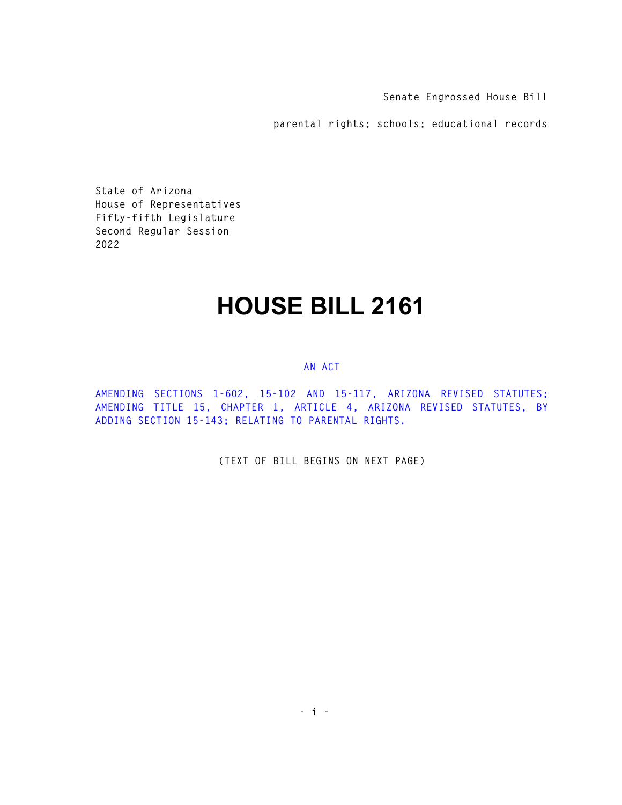**Senate Engrossed House Bill** 

**parental rights; schools; educational records** 

**State of Arizona House of Representatives Fifty-fifth Legislature Second Regular Session 2022** 

## **HOUSE BILL 2161**

## **AN ACT**

**AMENDING SECTIONS 1-602, 15-102 AND 15-117, ARIZONA REVISED STATUTES; AMENDING TITLE 15, CHAPTER 1, ARTICLE 4, ARIZONA REVISED STATUTES, BY ADDING SECTION 15-143; RELATING TO PARENTAL RIGHTS.** 

**(TEXT OF BILL BEGINS ON NEXT PAGE)**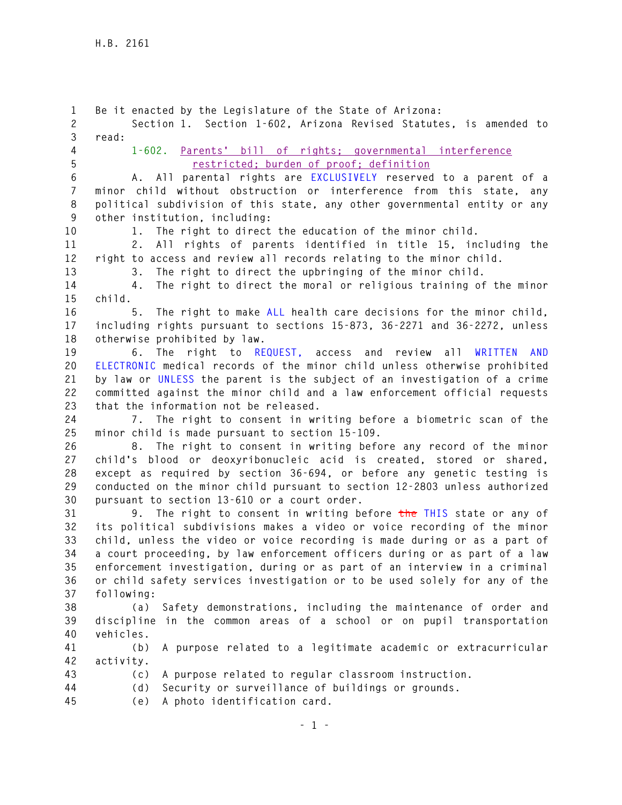**1 Be it enacted by the Legislature of the State of Arizona: 2 Section 1. Section 1-602, Arizona Revised Statutes, is amended to 3 read: 4 1-602. Parents' bill of rights; governmental interference 5 restricted; burden of proof; definition 6 A. All parental rights are EXCLUSIVELY reserved to a parent of a 7 minor child without obstruction or interference from this state, any 8 political subdivision of this state, any other governmental entity or any 9 other institution, including: 10 1. The right to direct the education of the minor child. 11 2. All rights of parents identified in title 15, including the 12 right to access and review all records relating to the minor child. 13 3. The right to direct the upbringing of the minor child. 14 4. The right to direct the moral or religious training of the minor 15 child. 16 5. The right to make ALL health care decisions for the minor child, 17 including rights pursuant to sections 15-873, 36-2271 and 36-2272, unless 18 otherwise prohibited by law. 19 6. The right to REQUEST, access and review all WRITTEN AND 20 ELECTRONIC medical records of the minor child unless otherwise prohibited 21 by law or UNLESS the parent is the subject of an investigation of a crime 22 committed against the minor child and a law enforcement official requests 23 that the information not be released. 24 7. The right to consent in writing before a biometric scan of the 25 minor child is made pursuant to section 15-109. 26 8. The right to consent in writing before any record of the minor 27 child's blood or deoxyribonucleic acid is created, stored or shared, 28 except as required by section 36-694, or before any genetic testing is 29 conducted on the minor child pursuant to section 12-2803 unless authorized 30 pursuant to section 13-610 or a court order. 31 9. The right to consent in writing before the THIS state or any of 32 its political subdivisions makes a video or voice recording of the minor 33 child, unless the video or voice recording is made during or as a part of 34 a court proceeding, by law enforcement officers during or as part of a law 35 enforcement investigation, during or as part of an interview in a criminal 36 or child safety services investigation or to be used solely for any of the 37 following: 38 (a) Safety demonstrations, including the maintenance of order and 39 discipline in the common areas of a school or on pupil transportation 40 vehicles. 41 (b) A purpose related to a legitimate academic or extracurricular 42 activity. 43 (c) A purpose related to regular classroom instruction. 44 (d) Security or surveillance of buildings or grounds. 45 (e) A photo identification card.**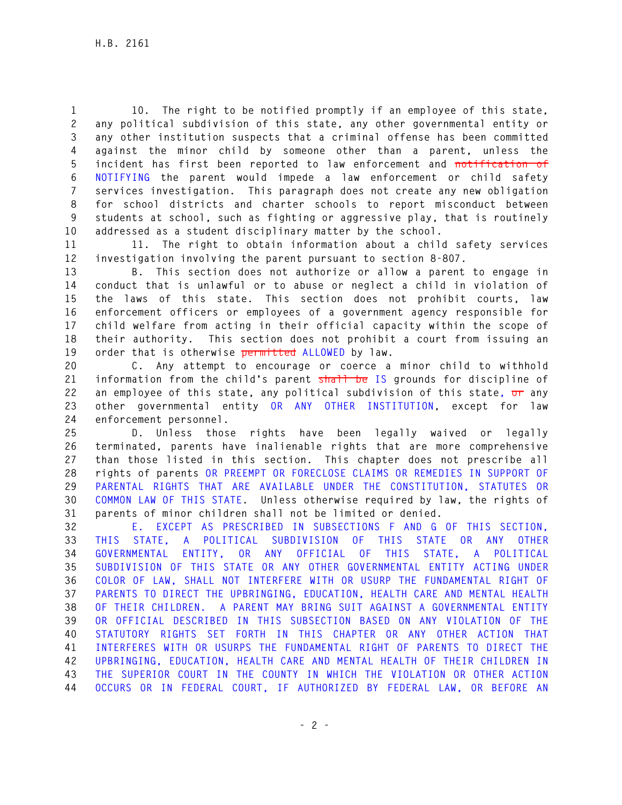**1 10. The right to be notified promptly if an employee of this state, 2 any political subdivision of this state, any other governmental entity or 3 any other institution suspects that a criminal offense has been committed 4 against the minor child by someone other than a parent, unless the 5 incident has first been reported to law enforcement and notification of 6 NOTIFYING the parent would impede a law enforcement or child safety 7 services investigation. This paragraph does not create any new obligation 8 for school districts and charter schools to report misconduct between 9 students at school, such as fighting or aggressive play, that is routinely 10 addressed as a student disciplinary matter by the school.** 

**11 11. The right to obtain information about a child safety services 12 investigation involving the parent pursuant to section 8-807.** 

**13 B. This section does not authorize or allow a parent to engage in 14 conduct that is unlawful or to abuse or neglect a child in violation of 15 the laws of this state. This section does not prohibit courts, law 16 enforcement officers or employees of a government agency responsible for 17 child welfare from acting in their official capacity within the scope of 18 their authority. This section does not prohibit a court from issuing an 19 order that is otherwise permitted ALLOWED by law.** 

**20 C. Any attempt to encourage or coerce a minor child to withhold 21 information from the child's parent shall be IS grounds for discipline of 22 an employee of this state, any political subdivision of this state, or any 23 other governmental entity OR ANY OTHER INSTITUTION, except for law 24 enforcement personnel.** 

**25 D. Unless those rights have been legally waived or legally 26 terminated, parents have inalienable rights that are more comprehensive 27 than those listed in this section. This chapter does not prescribe all 28 rights of parents OR PREEMPT OR FORECLOSE CLAIMS OR REMEDIES IN SUPPORT OF 29 PARENTAL RIGHTS THAT ARE AVAILABLE UNDER THE CONSTITUTION, STATUTES OR 30 COMMON LAW OF THIS STATE. Unless otherwise required by law, the rights of 31 parents of minor children shall not be limited or denied.** 

**32 E. EXCEPT AS PRESCRIBED IN SUBSECTIONS F AND G OF THIS SECTION, 33 THIS STATE, A POLITICAL SUBDIVISION OF THIS STATE OR ANY OTHER 34 GOVERNMENTAL ENTITY, OR ANY OFFICIAL OF THIS STATE, A POLITICAL 35 SUBDIVISION OF THIS STATE OR ANY OTHER GOVERNMENTAL ENTITY ACTING UNDER 36 COLOR OF LAW, SHALL NOT INTERFERE WITH OR USURP THE FUNDAMENTAL RIGHT OF 37 PARENTS TO DIRECT THE UPBRINGING, EDUCATION, HEALTH CARE AND MENTAL HEALTH 38 OF THEIR CHILDREN. A PARENT MAY BRING SUIT AGAINST A GOVERNMENTAL ENTITY 39 OR OFFICIAL DESCRIBED IN THIS SUBSECTION BASED ON ANY VIOLATION OF THE 40 STATUTORY RIGHTS SET FORTH IN THIS CHAPTER OR ANY OTHER ACTION THAT 41 INTERFERES WITH OR USURPS THE FUNDAMENTAL RIGHT OF PARENTS TO DIRECT THE 42 UPBRINGING, EDUCATION, HEALTH CARE AND MENTAL HEALTH OF THEIR CHILDREN IN 43 THE SUPERIOR COURT IN THE COUNTY IN WHICH THE VIOLATION OR OTHER ACTION 44 OCCURS OR IN FEDERAL COURT, IF AUTHORIZED BY FEDERAL LAW, OR BEFORE AN**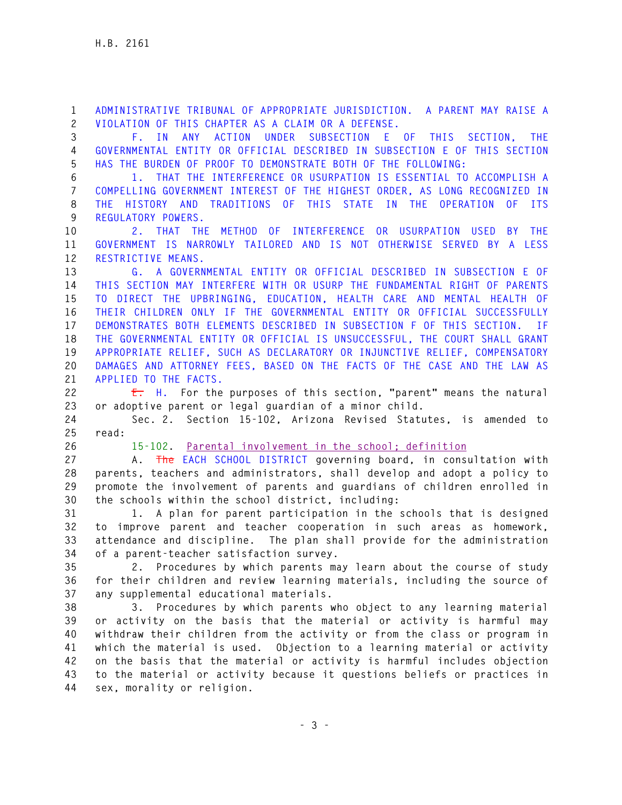**1 ADMINISTRATIVE TRIBUNAL OF APPROPRIATE JURISDICTION. A PARENT MAY RAISE A 2 VIOLATION OF THIS CHAPTER AS A CLAIM OR A DEFENSE.** 

**3 F. IN ANY ACTION UNDER SUBSECTION E OF THIS SECTION, THE 4 GOVERNMENTAL ENTITY OR OFFICIAL DESCRIBED IN SUBSECTION E OF THIS SECTION 5 HAS THE BURDEN OF PROOF TO DEMONSTRATE BOTH OF THE FOLLOWING:** 

**6 1. THAT THE INTERFERENCE OR USURPATION IS ESSENTIAL TO ACCOMPLISH A 7 COMPELLING GOVERNMENT INTEREST OF THE HIGHEST ORDER, AS LONG RECOGNIZED IN 8 THE HISTORY AND TRADITIONS OF THIS STATE IN THE OPERATION OF ITS 9 REGULATORY POWERS.** 

**10 2. THAT THE METHOD OF INTERFERENCE OR USURPATION USED BY THE 11 GOVERNMENT IS NARROWLY TAILORED AND IS NOT OTHERWISE SERVED BY A LESS 12 RESTRICTIVE MEANS.** 

**13 G. A GOVERNMENTAL ENTITY OR OFFICIAL DESCRIBED IN SUBSECTION E OF 14 THIS SECTION MAY INTERFERE WITH OR USURP THE FUNDAMENTAL RIGHT OF PARENTS 15 TO DIRECT THE UPBRINGING, EDUCATION, HEALTH CARE AND MENTAL HEALTH OF 16 THEIR CHILDREN ONLY IF THE GOVERNMENTAL ENTITY OR OFFICIAL SUCCESSFULLY 17 DEMONSTRATES BOTH ELEMENTS DESCRIBED IN SUBSECTION F OF THIS SECTION. IF 18 THE GOVERNMENTAL ENTITY OR OFFICIAL IS UNSUCCESSFUL, THE COURT SHALL GRANT 19 APPROPRIATE RELIEF, SUCH AS DECLARATORY OR INJUNCTIVE RELIEF, COMPENSATORY 20 DAMAGES AND ATTORNEY FEES, BASED ON THE FACTS OF THE CASE AND THE LAW AS 21 APPLIED TO THE FACTS.** 

**22 E. H. For the purposes of this section, "parent" means the natural 23 or adoptive parent or legal guardian of a minor child.** 

**24 Sec. 2. Section 15-102, Arizona Revised Statutes, is amended to 25 read:** 

**26 15-102. Parental involvement in the school; definition**

**27 A. The EACH SCHOOL DISTRICT governing board, in consultation with 28 parents, teachers and administrators, shall develop and adopt a policy to 29 promote the involvement of parents and guardians of children enrolled in 30 the schools within the school district, including:** 

**31 1. A plan for parent participation in the schools that is designed 32 to improve parent and teacher cooperation in such areas as homework, 33 attendance and discipline. The plan shall provide for the administration 34 of a parent-teacher satisfaction survey.** 

**35 2. Procedures by which parents may learn about the course of study 36 for their children and review learning materials, including the source of 37 any supplemental educational materials.** 

**38 3. Procedures by which parents who object to any learning material 39 or activity on the basis that the material or activity is harmful may 40 withdraw their children from the activity or from the class or program in 41 which the material is used. Objection to a learning material or activity 42 on the basis that the material or activity is harmful includes objection 43 to the material or activity because it questions beliefs or practices in 44 sex, morality or religion.**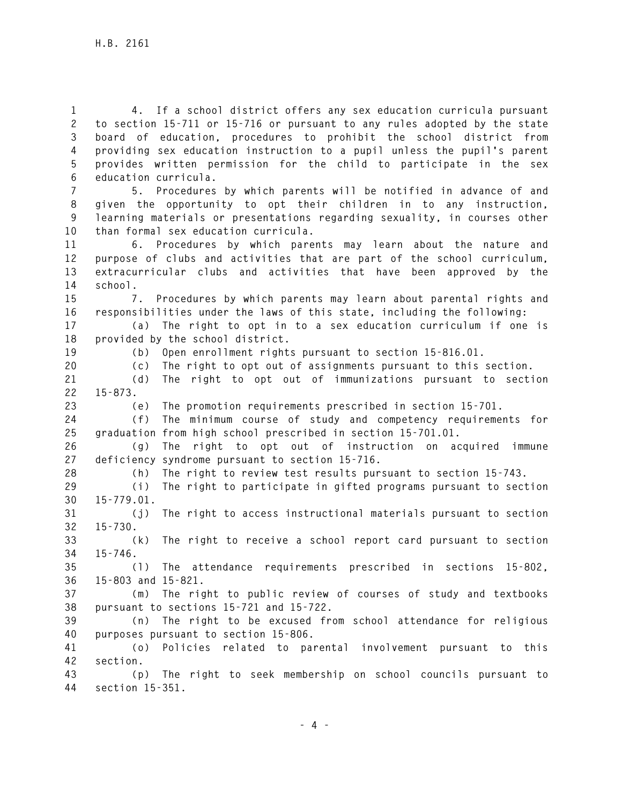**1 4. If a school district offers any sex education curricula pursuant 2 to section 15-711 or 15-716 or pursuant to any rules adopted by the state 3 board of education, procedures to prohibit the school district from 4 providing sex education instruction to a pupil unless the pupil's parent 5 provides written permission for the child to participate in the sex 6 education curricula.** 

**7 5. Procedures by which parents will be notified in advance of and 8 given the opportunity to opt their children in to any instruction, 9 learning materials or presentations regarding sexuality, in courses other 10 than formal sex education curricula.** 

**11 6. Procedures by which parents may learn about the nature and 12 purpose of clubs and activities that are part of the school curriculum, 13 extracurricular clubs and activities that have been approved by the 14 school.** 

**15 7. Procedures by which parents may learn about parental rights and 16 responsibilities under the laws of this state, including the following:** 

**17 (a) The right to opt in to a sex education curriculum if one is 18 provided by the school district.** 

**19 (b) Open enrollment rights pursuant to section 15-816.01.** 

**20 (c) The right to opt out of assignments pursuant to this section.** 

**21 (d) The right to opt out of immunizations pursuant to section 22 15-873.** 

**23 (e) The promotion requirements prescribed in section 15-701.** 

**24 (f) The minimum course of study and competency requirements for 25 graduation from high school prescribed in section 15-701.01.** 

**26 (g) The right to opt out of instruction on acquired immune 27 deficiency syndrome pursuant to section 15-716.** 

**28 (h) The right to review test results pursuant to section 15-743.** 

**29 (i) The right to participate in gifted programs pursuant to section 30 15-779.01.** 

**31 (j) The right to access instructional materials pursuant to section 32 15-730.** 

**33 (k) The right to receive a school report card pursuant to section 34 15-746.** 

**35 (l) The attendance requirements prescribed in sections 15-802, 36 15-803 and 15-821.** 

**37 (m) The right to public review of courses of study and textbooks 38 pursuant to sections 15-721 and 15-722.** 

**39 (n) The right to be excused from school attendance for religious 40 purposes pursuant to section 15-806.** 

**41 (o) Policies related to parental involvement pursuant to this 42 section.** 

**43 (p) The right to seek membership on school councils pursuant to 44 section 15-351.**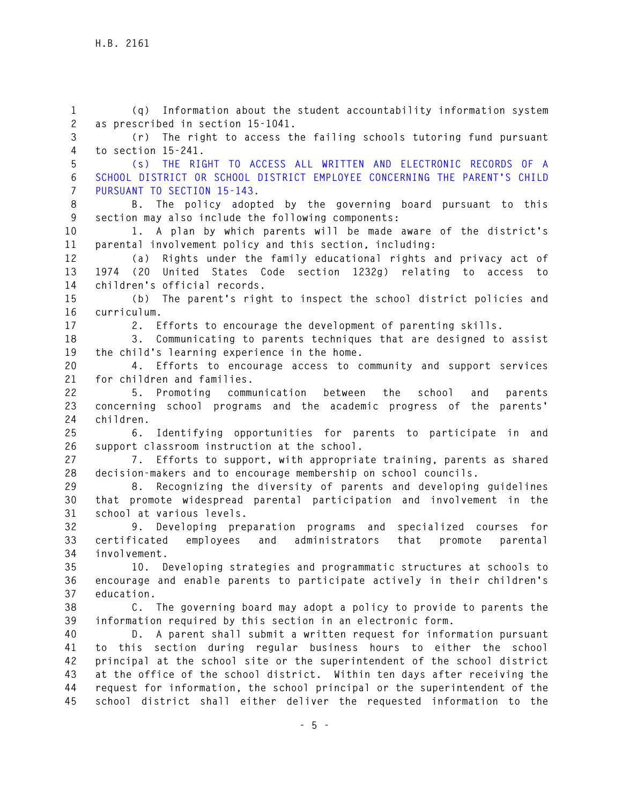**1 (q) Information about the student accountability information system 2 as prescribed in section 15-1041. 3 (r) The right to access the failing schools tutoring fund pursuant 4 to section 15-241. 5 (s) THE RIGHT TO ACCESS ALL WRITTEN AND ELECTRONIC RECORDS OF A 6 SCHOOL DISTRICT OR SCHOOL DISTRICT EMPLOYEE CONCERNING THE PARENT'S CHILD 7 PURSUANT TO SECTION 15-143. 8 B. The policy adopted by the governing board pursuant to this 9 section may also include the following components: 10 1. A plan by which parents will be made aware of the district's 11 parental involvement policy and this section, including: 12 (a) Rights under the family educational rights and privacy act of 13 1974 (20 United States Code section 1232g) relating to access to 14 children's official records. 15 (b) The parent's right to inspect the school district policies and 16 curriculum. 17 2. Efforts to encourage the development of parenting skills. 18 3. Communicating to parents techniques that are designed to assist 19 the child's learning experience in the home. 20 4. Efforts to encourage access to community and support services 21 for children and families. 22 5. Promoting communication between the school and parents 23 concerning school programs and the academic progress of the parents' 24 children. 25 6. Identifying opportunities for parents to participate in and 26 support classroom instruction at the school. 27 7. Efforts to support, with appropriate training, parents as shared 28 decision-makers and to encourage membership on school councils. 29 8. Recognizing the diversity of parents and developing guidelines 30 that promote widespread parental participation and involvement in the 31 school at various levels. 32 9. Developing preparation programs and specialized courses for 33 certificated employees and administrators that promote parental 34 involvement. 35 10. Developing strategies and programmatic structures at schools to 36 encourage and enable parents to participate actively in their children's 37 education. 38 C. The governing board may adopt a policy to provide to parents the 39 information required by this section in an electronic form. 40 D. A parent shall submit a written request for information pursuant 41 to this section during regular business hours to either the school 42 principal at the school site or the superintendent of the school district 43 at the office of the school district. Within ten days after receiving the 44 request for information, the school principal or the superintendent of the 45 school district shall either deliver the requested information to the**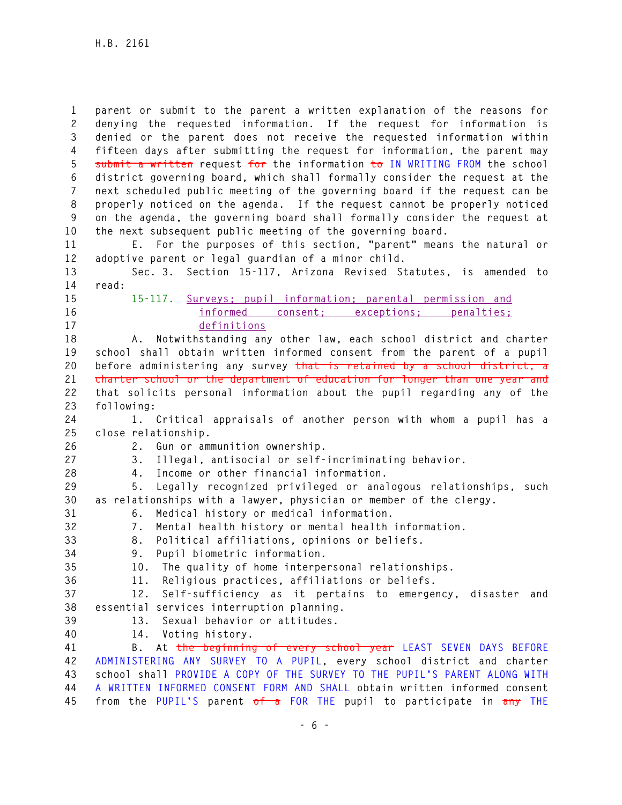**1 parent or submit to the parent a written explanation of the reasons for 2 denying the requested information. If the request for information is 3 denied or the parent does not receive the requested information within 4 fifteen days after submitting the request for information, the parent may 5 submit a written request for the information to IN WRITING FROM the school 6 district governing board, which shall formally consider the request at the 7 next scheduled public meeting of the governing board if the request can be 8 properly noticed on the agenda. If the request cannot be properly noticed 9 on the agenda, the governing board shall formally consider the request at 10 the next subsequent public meeting of the governing board.** 

**11 E. For the purposes of this section, "parent" means the natural or 12 adoptive parent or legal guardian of a minor child.** 

**13 Sec. 3. Section 15-117, Arizona Revised Statutes, is amended to 14 read:** 

- 
- 

**15 15-117. Surveys; pupil information; parental permission and 16 informed consent; exceptions; penalties; 17 definitions**

**18 A. Notwithstanding any other law, each school district and charter 19 school shall obtain written informed consent from the parent of a pupil 20 before administering any survey that is retained by a school district, a 21 charter school or the department of education for longer than one year and 22 that solicits personal information about the pupil regarding any of the 23 following:** 

**24 1. Critical appraisals of another person with whom a pupil has a 25 close relationship.** 

**26 2. Gun or ammunition ownership.** 

- **27 3. Illegal, antisocial or self-incriminating behavior.**
- **28 4. Income or other financial information.**

**29 5. Legally recognized privileged or analogous relationships, such 30 as relationships with a lawyer, physician or member of the clergy. 31 6. Medical history or medical information.** 

**32 7. Mental health history or mental health information.** 

- **33 8. Political affiliations, opinions or beliefs.**
- **34 9. Pupil biometric information.**
- 

**35 10. The quality of home interpersonal relationships.** 

**36 11. Religious practices, affiliations or beliefs.** 

**37 12. Self-sufficiency as it pertains to emergency, disaster and 38 essential services interruption planning.** 

- **39 13. Sexual behavior or attitudes.**
- 
- **40 14. Voting history.**

**41 B. At the beginning of every school year LEAST SEVEN DAYS BEFORE 42 ADMINISTERING ANY SURVEY TO A PUPIL, every school district and charter 43 school shall PROVIDE A COPY OF THE SURVEY TO THE PUPIL'S PARENT ALONG WITH 44 A WRITTEN INFORMED CONSENT FORM AND SHALL obtain written informed consent 45 from the PUPIL'S parent of a FOR THE pupil to participate in any THE**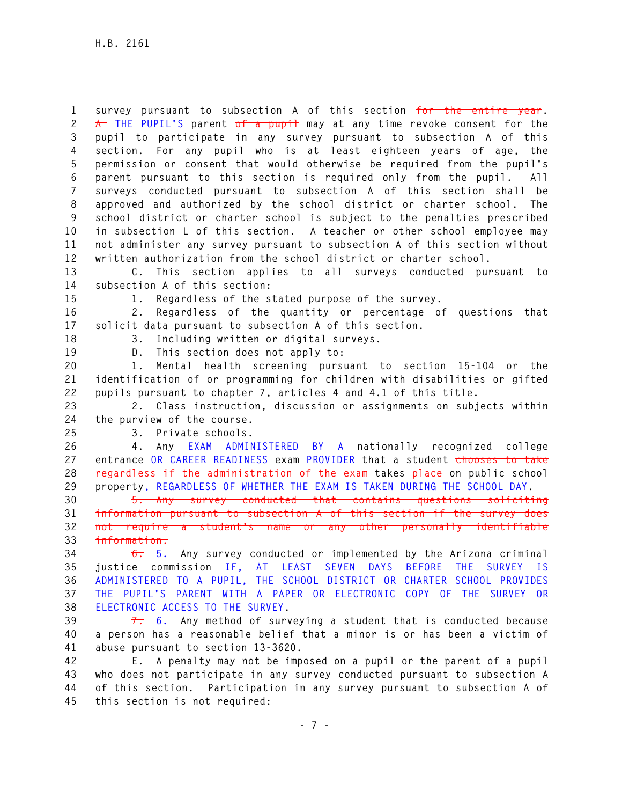**1 survey pursuant to subsection A of this section for the entire year.**  2  $\uparrow$  **THE PUPIL'S** parent of a pupil may at any time revoke consent for the **3 pupil to participate in any survey pursuant to subsection A of this 4 section. For any pupil who is at least eighteen years of age, the 5 permission or consent that would otherwise be required from the pupil's 6 parent pursuant to this section is required only from the pupil. All 7 surveys conducted pursuant to subsection A of this section shall be 8 approved and authorized by the school district or charter school. The 9 school district or charter school is subject to the penalties prescribed 10 in subsection L of this section. A teacher or other school employee may 11 not administer any survey pursuant to subsection A of this section without 12 written authorization from the school district or charter school.** 

**13 C. This section applies to all surveys conducted pursuant to 14 subsection A of this section:** 

**15 1. Regardless of the stated purpose of the survey.** 

**16 2. Regardless of the quantity or percentage of questions that 17 solicit data pursuant to subsection A of this section.** 

**18 3. Including written or digital surveys.** 

**19 D. This section does not apply to:** 

**20 1. Mental health screening pursuant to section 15-104 or the 21 identification of or programming for children with disabilities or gifted 22 pupils pursuant to chapter 7, articles 4 and 4.1 of this title.** 

**23 2. Class instruction, discussion or assignments on subjects within 24 the purview of the course.** 

**25 3. Private schools.** 

**26 4. Any EXAM ADMINISTERED BY A nationally recognized college 27 entrance OR CAREER READINESS exam PROVIDER that a student chooses to take 28 regardless if the administration of the exam takes place on public school 29 property, REGARDLESS OF WHETHER THE EXAM IS TAKEN DURING THE SCHOOL DAY.** 

**30 5. Any survey conducted that contains questions soliciting 31 information pursuant to subsection A of this section if the survey does 32 not require a student's name or any other personally identifiable 33 information.** 

**34 6. 5. Any survey conducted or implemented by the Arizona criminal 35 justice commission IF, AT LEAST SEVEN DAYS BEFORE THE SURVEY IS 36 ADMINISTERED TO A PUPIL, THE SCHOOL DISTRICT OR CHARTER SCHOOL PROVIDES 37 THE PUPIL'S PARENT WITH A PAPER OR ELECTRONIC COPY OF THE SURVEY OR 38 ELECTRONIC ACCESS TO THE SURVEY.** 

**39 7. 6. Any method of surveying a student that is conducted because 40 a person has a reasonable belief that a minor is or has been a victim of 41 abuse pursuant to section 13-3620.** 

**42 E. A penalty may not be imposed on a pupil or the parent of a pupil 43 who does not participate in any survey conducted pursuant to subsection A 44 of this section. Participation in any survey pursuant to subsection A of 45 this section is not required:**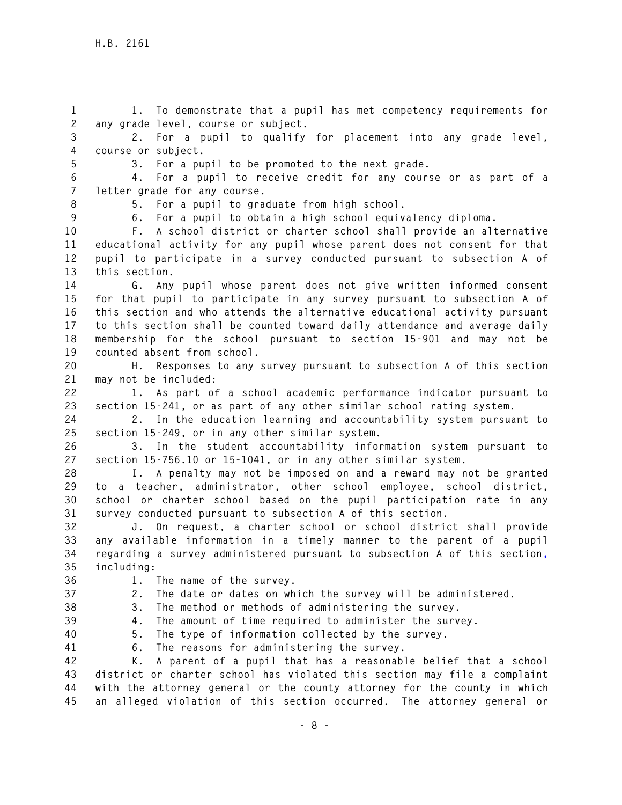**1 1. To demonstrate that a pupil has met competency requirements for 2 any grade level, course or subject.** 

**3 2. For a pupil to qualify for placement into any grade level, 4 course or subject.** 

**5 3. For a pupil to be promoted to the next grade.** 

**6 4. For a pupil to receive credit for any course or as part of a 7 letter grade for any course.** 

**8 5. For a pupil to graduate from high school.** 

**9 6. For a pupil to obtain a high school equivalency diploma.** 

**10 F. A school district or charter school shall provide an alternative 11 educational activity for any pupil whose parent does not consent for that 12 pupil to participate in a survey conducted pursuant to subsection A of 13 this section.** 

**14 G. Any pupil whose parent does not give written informed consent 15 for that pupil to participate in any survey pursuant to subsection A of 16 this section and who attends the alternative educational activity pursuant 17 to this section shall be counted toward daily attendance and average daily 18 membership for the school pursuant to section 15-901 and may not be 19 counted absent from school.** 

**20 H. Responses to any survey pursuant to subsection A of this section 21 may not be included:** 

**22 1. As part of a school academic performance indicator pursuant to 23 section 15-241, or as part of any other similar school rating system.** 

**24 2. In the education learning and accountability system pursuant to 25 section 15-249, or in any other similar system.** 

**26 3. In the student accountability information system pursuant to 27 section 15-756.10 or 15-1041, or in any other similar system.** 

**28 I. A penalty may not be imposed on and a reward may not be granted 29 to a teacher, administrator, other school employee, school district, 30 school or charter school based on the pupil participation rate in any 31 survey conducted pursuant to subsection A of this section.** 

**32 J. On request, a charter school or school district shall provide 33 any available information in a timely manner to the parent of a pupil 34 regarding a survey administered pursuant to subsection A of this section, 35 including:** 

**36 1. The name of the survey.** 

**37 2. The date or dates on which the survey will be administered.** 

**38 3. The method or methods of administering the survey. 39 4. The amount of time required to administer the survey.** 

**40 5. The type of information collected by the survey.** 

**41 6. The reasons for administering the survey.** 

**42 K. A parent of a pupil that has a reasonable belief that a school 43 district or charter school has violated this section may file a complaint 44 with the attorney general or the county attorney for the county in which 45 an alleged violation of this section occurred. The attorney general or**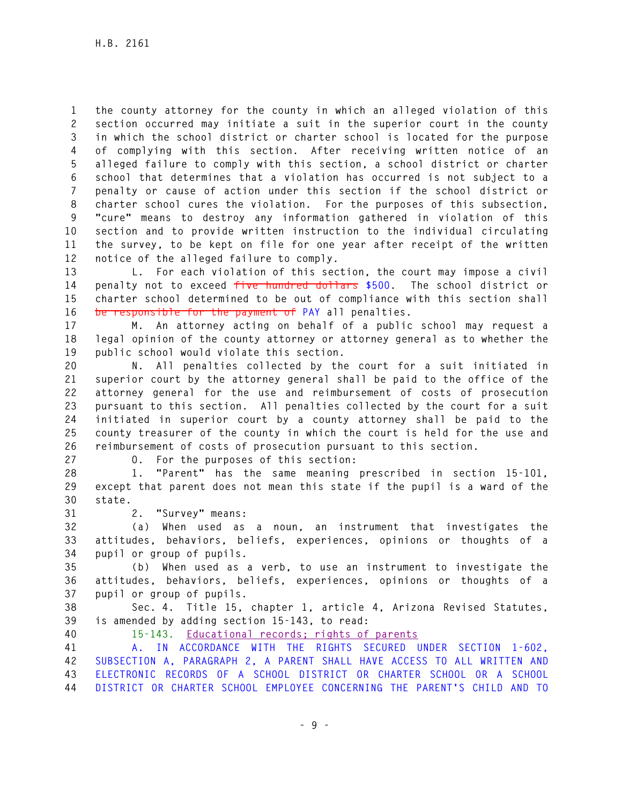**1 the county attorney for the county in which an alleged violation of this 2 section occurred may initiate a suit in the superior court in the county 3 in which the school district or charter school is located for the purpose 4 of complying with this section. After receiving written notice of an 5 alleged failure to comply with this section, a school district or charter 6 school that determines that a violation has occurred is not subject to a 7 penalty or cause of action under this section if the school district or 8 charter school cures the violation. For the purposes of this subsection, 9 "cure" means to destroy any information gathered in violation of this 10 section and to provide written instruction to the individual circulating 11 the survey, to be kept on file for one year after receipt of the written 12 notice of the alleged failure to comply.** 

**13 L. For each violation of this section, the court may impose a civil 14 penalty not to exceed five hundred dollars \$500. The school district or 15 charter school determined to be out of compliance with this section shall 16 be responsible for the payment of PAY all penalties.** 

**17 M. An attorney acting on behalf of a public school may request a 18 legal opinion of the county attorney or attorney general as to whether the 19 public school would violate this section.** 

**20 N. All penalties collected by the court for a suit initiated in 21 superior court by the attorney general shall be paid to the office of the 22 attorney general for the use and reimbursement of costs of prosecution 23 pursuant to this section. All penalties collected by the court for a suit 24 initiated in superior court by a county attorney shall be paid to the 25 county treasurer of the county in which the court is held for the use and 26 reimbursement of costs of prosecution pursuant to this section.** 

**27 O. For the purposes of this section:** 

**28 1. "Parent" has the same meaning prescribed in section 15-101, 29 except that parent does not mean this state if the pupil is a ward of the 30 state.** 

**31 2. "Survey" means:** 

**32 (a) When used as a noun, an instrument that investigates the 33 attitudes, behaviors, beliefs, experiences, opinions or thoughts of a 34 pupil or group of pupils.** 

**35 (b) When used as a verb, to use an instrument to investigate the 36 attitudes, behaviors, beliefs, experiences, opinions or thoughts of a 37 pupil or group of pupils.** 

**38 Sec. 4. Title 15, chapter 1, article 4, Arizona Revised Statutes, 39 is amended by adding section 15-143, to read:** 

**40 15-143. Educational records; rights of parents** 

**41 A. IN ACCORDANCE WITH THE RIGHTS SECURED UNDER SECTION 1-602, 42 SUBSECTION A, PARAGRAPH 2, A PARENT SHALL HAVE ACCESS TO ALL WRITTEN AND 43 ELECTRONIC RECORDS OF A SCHOOL DISTRICT OR CHARTER SCHOOL OR A SCHOOL 44 DISTRICT OR CHARTER SCHOOL EMPLOYEE CONCERNING THE PARENT'S CHILD AND TO**